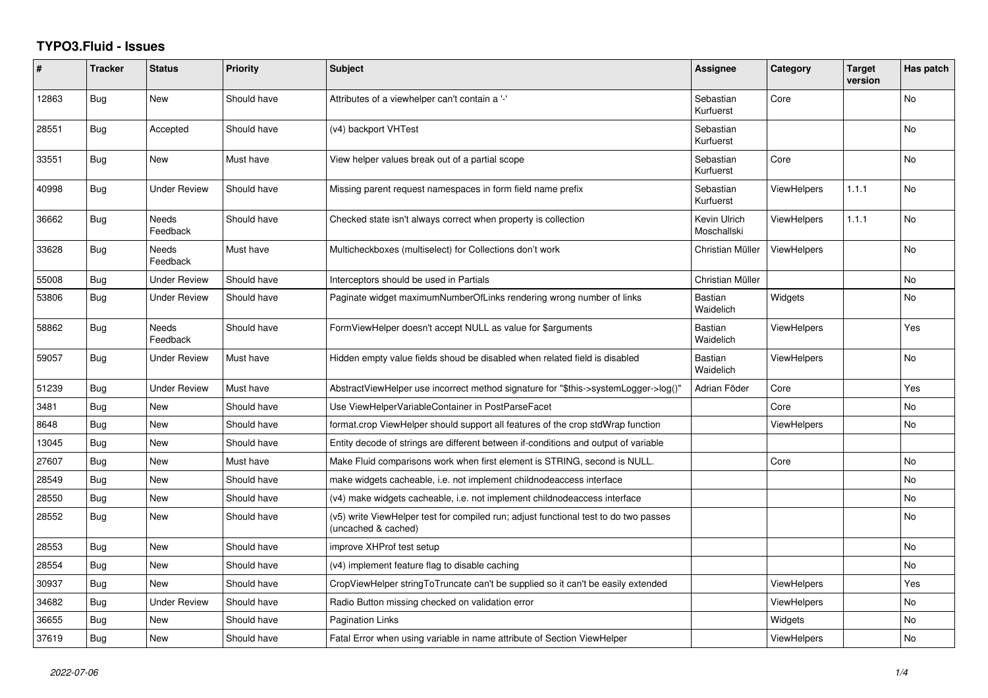## **TYPO3.Fluid - Issues**

| #     | <b>Tracker</b> | <b>Status</b>       | <b>Priority</b> | <b>Subject</b>                                                                                              | <b>Assignee</b>             | Category           | <b>Target</b><br>version | Has patch      |
|-------|----------------|---------------------|-----------------|-------------------------------------------------------------------------------------------------------------|-----------------------------|--------------------|--------------------------|----------------|
| 12863 | <b>Bug</b>     | <b>New</b>          | Should have     | Attributes of a viewhelper can't contain a '-'                                                              | Sebastian<br>Kurfuerst      | Core               |                          | <b>No</b>      |
| 28551 | <b>Bug</b>     | Accepted            | Should have     | (v4) backport VHTest                                                                                        | Sebastian<br>Kurfuerst      |                    |                          | <b>No</b>      |
| 33551 | <b>Bug</b>     | New                 | Must have       | View helper values break out of a partial scope                                                             | Sebastian<br>Kurfuerst      | Core               |                          | <b>No</b>      |
| 40998 | <b>Bug</b>     | <b>Under Review</b> | Should have     | Missing parent request namespaces in form field name prefix                                                 | Sebastian<br>Kurfuerst      | ViewHelpers        | 1.1.1                    | <b>No</b>      |
| 36662 | <b>Bug</b>     | Needs<br>Feedback   | Should have     | Checked state isn't always correct when property is collection                                              | Kevin Ulrich<br>Moschallski | ViewHelpers        | 1.1.1                    | N <sub>o</sub> |
| 33628 | <b>Bug</b>     | Needs<br>Feedback   | Must have       | Multicheckboxes (multiselect) for Collections don't work                                                    | Christian Müller            | ViewHelpers        |                          | <b>No</b>      |
| 55008 | Bug            | <b>Under Review</b> | Should have     | Interceptors should be used in Partials                                                                     | Christian Müller            |                    |                          | <b>No</b>      |
| 53806 | Bug            | Under Review        | Should have     | Paginate widget maximumNumberOfLinks rendering wrong number of links                                        | Bastian<br>Waidelich        | Widgets            |                          | No             |
| 58862 | Bug            | Needs<br>Feedback   | Should have     | FormViewHelper doesn't accept NULL as value for \$arguments                                                 | <b>Bastian</b><br>Waidelich | <b>ViewHelpers</b> |                          | Yes            |
| 59057 | <b>Bug</b>     | <b>Under Review</b> | Must have       | Hidden empty value fields shoud be disabled when related field is disabled                                  | <b>Bastian</b><br>Waidelich | <b>ViewHelpers</b> |                          | <b>No</b>      |
| 51239 | Bug            | Under Review        | Must have       | AbstractViewHelper use incorrect method signature for "\$this->systemLogger->log()"                         | Adrian Föder                | Core               |                          | Yes            |
| 3481  | Bug            | New                 | Should have     | Use ViewHelperVariableContainer in PostParseFacet                                                           |                             | Core               |                          | No             |
| 8648  | <b>Bug</b>     | New                 | Should have     | format.crop ViewHelper should support all features of the crop stdWrap function                             |                             | ViewHelpers        |                          | <b>No</b>      |
| 13045 | <b>Bug</b>     | New                 | Should have     | Entity decode of strings are different between if-conditions and output of variable                         |                             |                    |                          |                |
| 27607 | Bug            | New                 | Must have       | Make Fluid comparisons work when first element is STRING, second is NULL.                                   |                             | Core               |                          | <b>No</b>      |
| 28549 | Bug            | New                 | Should have     | make widgets cacheable, i.e. not implement childnodeaccess interface                                        |                             |                    |                          | <b>No</b>      |
| 28550 | <b>Bug</b>     | New                 | Should have     | (v4) make widgets cacheable, i.e. not implement childnodeaccess interface                                   |                             |                    |                          | No.            |
| 28552 | Bug            | New                 | Should have     | (v5) write ViewHelper test for compiled run; adjust functional test to do two passes<br>(uncached & cached) |                             |                    |                          | <b>No</b>      |
| 28553 | Bug            | New                 | Should have     | improve XHProf test setup                                                                                   |                             |                    |                          | <b>No</b>      |
| 28554 | <b>Bug</b>     | <b>New</b>          | Should have     | (v4) implement feature flag to disable caching                                                              |                             |                    |                          | <b>No</b>      |
| 30937 | <b>Bug</b>     | <b>New</b>          | Should have     | CropViewHelper stringToTruncate can't be supplied so it can't be easily extended                            |                             | <b>ViewHelpers</b> |                          | Yes            |
| 34682 | Bug            | Under Review        | Should have     | Radio Button missing checked on validation error                                                            |                             | ViewHelpers        |                          | No             |
| 36655 | Bug            | <b>New</b>          | Should have     | <b>Pagination Links</b>                                                                                     |                             | Widgets            |                          | No.            |
| 37619 | Bug            | <b>New</b>          | Should have     | Fatal Error when using variable in name attribute of Section ViewHelper                                     |                             | <b>ViewHelpers</b> |                          | <b>No</b>      |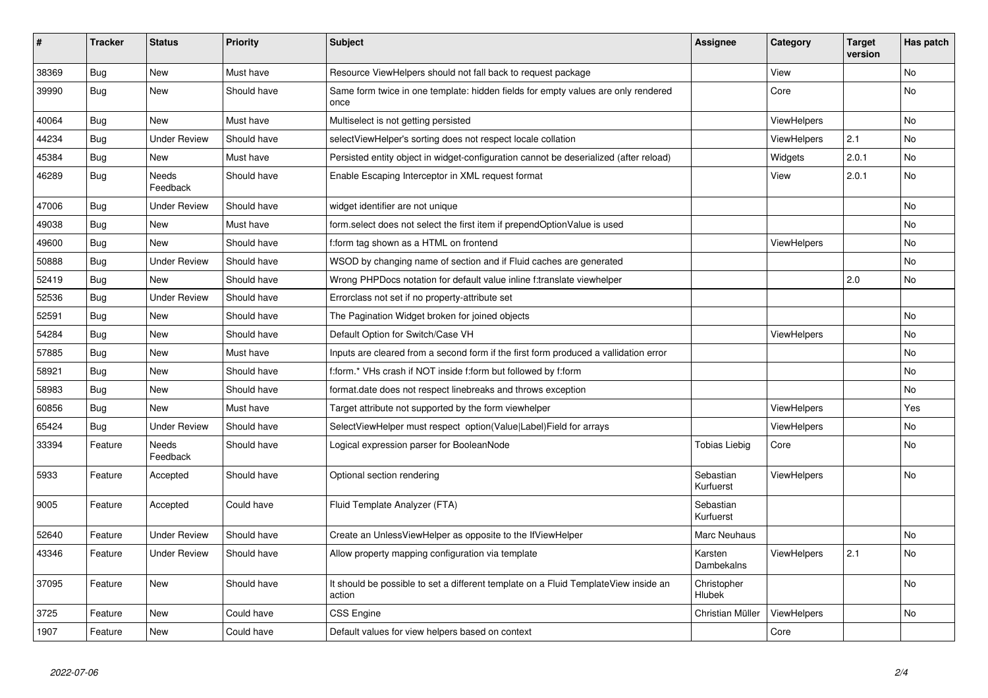| #     | <b>Tracker</b> | <b>Status</b>       | <b>Priority</b> | <b>Subject</b>                                                                                | <b>Assignee</b>        | Category           | <b>Target</b><br>version | Has patch |
|-------|----------------|---------------------|-----------------|-----------------------------------------------------------------------------------------------|------------------------|--------------------|--------------------------|-----------|
| 38369 | <b>Bug</b>     | New                 | Must have       | Resource ViewHelpers should not fall back to request package                                  |                        | View               |                          | <b>No</b> |
| 39990 | <b>Bug</b>     | New                 | Should have     | Same form twice in one template: hidden fields for empty values are only rendered<br>once     |                        | Core               |                          | <b>No</b> |
| 40064 | <b>Bug</b>     | New                 | Must have       | Multiselect is not getting persisted                                                          |                        | <b>ViewHelpers</b> |                          | No        |
| 44234 | Bug            | <b>Under Review</b> | Should have     | selectViewHelper's sorting does not respect locale collation                                  |                        | <b>ViewHelpers</b> | 2.1                      | <b>No</b> |
| 45384 | <b>Bug</b>     | New                 | Must have       | Persisted entity object in widget-configuration cannot be deserialized (after reload)         |                        | Widgets            | 2.0.1                    | <b>No</b> |
| 46289 | Bug            | Needs<br>Feedback   | Should have     | Enable Escaping Interceptor in XML request format                                             |                        | View               | 2.0.1                    | No        |
| 47006 | <b>Bug</b>     | Under Review        | Should have     | widget identifier are not unique                                                              |                        |                    |                          | <b>No</b> |
| 49038 | <b>Bug</b>     | New                 | Must have       | form.select does not select the first item if prependOptionValue is used                      |                        |                    |                          | <b>No</b> |
| 49600 | <b>Bug</b>     | New                 | Should have     | f:form tag shown as a HTML on frontend                                                        |                        | <b>ViewHelpers</b> |                          | No        |
| 50888 | <b>Bug</b>     | <b>Under Review</b> | Should have     | WSOD by changing name of section and if Fluid caches are generated                            |                        |                    |                          | <b>No</b> |
| 52419 | Bug            | <b>New</b>          | Should have     | Wrong PHPDocs notation for default value inline f:translate viewhelper                        |                        |                    | 2.0                      | <b>No</b> |
| 52536 | Bug            | Under Review        | Should have     | Errorclass not set if no property-attribute set                                               |                        |                    |                          |           |
| 52591 | Bug            | New                 | Should have     | The Pagination Widget broken for joined objects                                               |                        |                    |                          | <b>No</b> |
| 54284 | Bug            | New                 | Should have     | Default Option for Switch/Case VH                                                             |                        | <b>ViewHelpers</b> |                          | No        |
| 57885 | <b>Bug</b>     | New                 | Must have       | Inputs are cleared from a second form if the first form produced a vallidation error          |                        |                    |                          | No        |
| 58921 | <b>Bug</b>     | New                 | Should have     | f:form.* VHs crash if NOT inside f:form but followed by f:form                                |                        |                    |                          | <b>No</b> |
| 58983 | Bug            | New                 | Should have     | format.date does not respect linebreaks and throws exception                                  |                        |                    |                          | No        |
| 60856 | Bug            | New                 | Must have       | Target attribute not supported by the form viewhelper                                         |                        | <b>ViewHelpers</b> |                          | Yes       |
| 65424 | <b>Bug</b>     | <b>Under Review</b> | Should have     | SelectViewHelper must respect option(Value Label)Field for arrays                             |                        | <b>ViewHelpers</b> |                          | No        |
| 33394 | Feature        | Needs<br>Feedback   | Should have     | Logical expression parser for BooleanNode                                                     | Tobias Liebig          | Core               |                          | No        |
| 5933  | Feature        | Accepted            | Should have     | Optional section rendering                                                                    | Sebastian<br>Kurfuerst | <b>ViewHelpers</b> |                          | No        |
| 9005  | Feature        | Accepted            | Could have      | Fluid Template Analyzer (FTA)                                                                 | Sebastian<br>Kurfuerst |                    |                          |           |
| 52640 | Feature        | <b>Under Review</b> | Should have     | Create an UnlessViewHelper as opposite to the IfViewHelper                                    | Marc Neuhaus           |                    |                          | <b>No</b> |
| 43346 | Feature        | Under Review        | Should have     | Allow property mapping configuration via template                                             | Karsten<br>Dambekalns  | <b>ViewHelpers</b> | 2.1                      | No        |
| 37095 | Feature        | <b>New</b>          | Should have     | It should be possible to set a different template on a Fluid TemplateView inside an<br>action | Christopher<br>Hlubek  |                    |                          | <b>No</b> |
| 3725  | Feature        | New                 | Could have      | CSS Engine                                                                                    | Christian Müller       | ViewHelpers        |                          | <b>No</b> |
| 1907  | Feature        | New                 | Could have      | Default values for view helpers based on context                                              |                        | Core               |                          |           |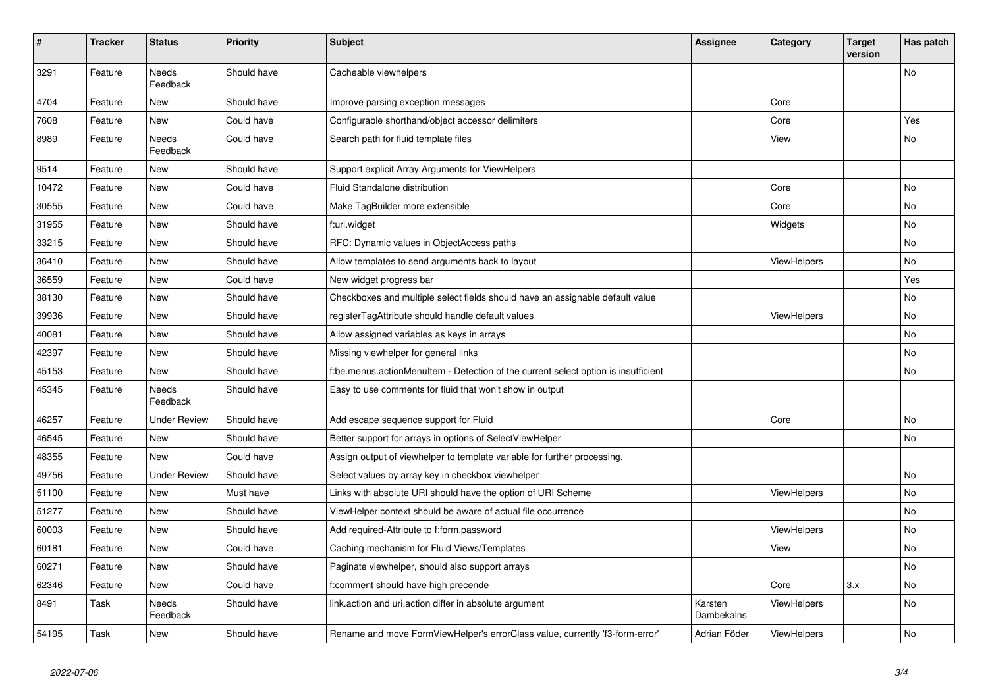| $\sharp$ | <b>Tracker</b> | <b>Status</b>       | <b>Priority</b> | <b>Subject</b>                                                                     | <b>Assignee</b>       | Category           | <b>Target</b><br>version | Has patch |
|----------|----------------|---------------------|-----------------|------------------------------------------------------------------------------------|-----------------------|--------------------|--------------------------|-----------|
| 3291     | Feature        | Needs<br>Feedback   | Should have     | Cacheable viewhelpers                                                              |                       |                    |                          | No        |
| 4704     | Feature        | New                 | Should have     | Improve parsing exception messages                                                 |                       | Core               |                          |           |
| 7608     | Feature        | New                 | Could have      | Configurable shorthand/object accessor delimiters                                  |                       | Core               |                          | Yes       |
| 8989     | Feature        | Needs<br>Feedback   | Could have      | Search path for fluid template files                                               |                       | View               |                          | No        |
| 9514     | Feature        | New                 | Should have     | Support explicit Array Arguments for ViewHelpers                                   |                       |                    |                          |           |
| 10472    | Feature        | New                 | Could have      | Fluid Standalone distribution                                                      |                       | Core               |                          | No        |
| 30555    | Feature        | New                 | Could have      | Make TagBuilder more extensible                                                    |                       | Core               |                          | No        |
| 31955    | Feature        | New                 | Should have     | f:uri.widget                                                                       |                       | Widgets            |                          | <b>No</b> |
| 33215    | Feature        | New                 | Should have     | RFC: Dynamic values in ObjectAccess paths                                          |                       |                    |                          | No        |
| 36410    | Feature        | New                 | Should have     | Allow templates to send arguments back to layout                                   |                       | <b>ViewHelpers</b> |                          | No        |
| 36559    | Feature        | <b>New</b>          | Could have      | New widget progress bar                                                            |                       |                    |                          | Yes       |
| 38130    | Feature        | <b>New</b>          | Should have     | Checkboxes and multiple select fields should have an assignable default value      |                       |                    |                          | <b>No</b> |
| 39936    | Feature        | New                 | Should have     | registerTagAttribute should handle default values                                  |                       | ViewHelpers        |                          | No        |
| 40081    | Feature        | <b>New</b>          | Should have     | Allow assigned variables as keys in arrays                                         |                       |                    |                          | <b>No</b> |
| 42397    | Feature        | <b>New</b>          | Should have     | Missing viewhelper for general links                                               |                       |                    |                          | No        |
| 45153    | Feature        | New                 | Should have     | f:be.menus.actionMenuItem - Detection of the current select option is insufficient |                       |                    |                          | No        |
| 45345    | Feature        | Needs<br>Feedback   | Should have     | Easy to use comments for fluid that won't show in output                           |                       |                    |                          |           |
| 46257    | Feature        | <b>Under Review</b> | Should have     | Add escape sequence support for Fluid                                              |                       | Core               |                          | <b>No</b> |
| 46545    | Feature        | <b>New</b>          | Should have     | Better support for arrays in options of SelectViewHelper                           |                       |                    |                          | No        |
| 48355    | Feature        | New                 | Could have      | Assign output of viewhelper to template variable for further processing.           |                       |                    |                          |           |
| 49756    | Feature        | <b>Under Review</b> | Should have     | Select values by array key in checkbox viewhelper                                  |                       |                    |                          | <b>No</b> |
| 51100    | Feature        | <b>New</b>          | Must have       | Links with absolute URI should have the option of URI Scheme                       |                       | <b>ViewHelpers</b> |                          | <b>No</b> |
| 51277    | Feature        | New                 | Should have     | ViewHelper context should be aware of actual file occurrence                       |                       |                    |                          | No        |
| 60003    | Feature        | New                 | Should have     | Add required-Attribute to f:form.password                                          |                       | ViewHelpers        |                          | <b>No</b> |
| 60181    | Feature        | New                 | Could have      | Caching mechanism for Fluid Views/Templates                                        |                       | View               |                          | <b>No</b> |
| 60271    | Feature        | New                 | Should have     | Paginate viewhelper, should also support arrays                                    |                       |                    |                          | No        |
| 62346    | Feature        | New                 | Could have      | f:comment should have high precende                                                |                       | Core               | 3.x                      | <b>No</b> |
| 8491     | Task           | Needs<br>Feedback   | Should have     | link.action and uri.action differ in absolute argument                             | Karsten<br>Dambekalns | ViewHelpers        |                          | <b>No</b> |
| 54195    | Task           | New                 | Should have     | Rename and move FormViewHelper's errorClass value, currently 'f3-form-error'       | Adrian Föder          | <b>ViewHelpers</b> |                          | No        |